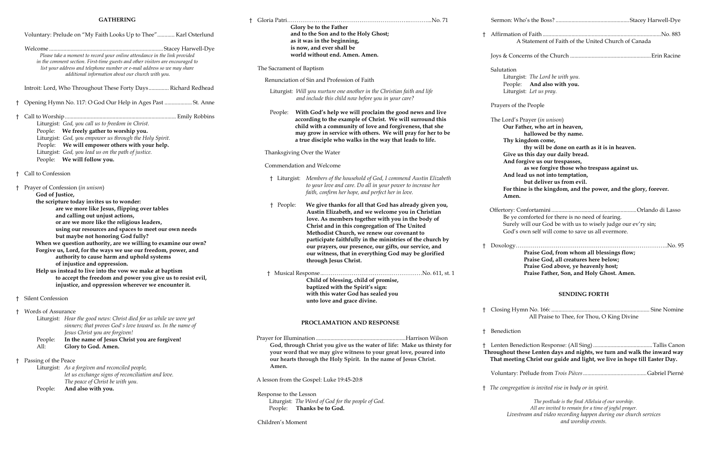## **GATHERING**

|    |                          | Voluntary: Prelude on "My Faith Looks Up to Thee" Karl Osterlund                                                                                                                                                                                                                                                                                                                                                                                                                                                                                                                                                                                                          |                         |
|----|--------------------------|---------------------------------------------------------------------------------------------------------------------------------------------------------------------------------------------------------------------------------------------------------------------------------------------------------------------------------------------------------------------------------------------------------------------------------------------------------------------------------------------------------------------------------------------------------------------------------------------------------------------------------------------------------------------------|-------------------------|
|    |                          | Please take a moment to record your online attendance in the link provided<br>in the comment section. First-time guests and other visitors are encouraged to<br>list your address and telephone number or e-mail address so we may share<br>additional information about our church with you.                                                                                                                                                                                                                                                                                                                                                                             | The Sacr                |
|    |                          |                                                                                                                                                                                                                                                                                                                                                                                                                                                                                                                                                                                                                                                                           | Renu                    |
|    |                          | Introit: Lord, Who Throughout These Forty Days Richard Redhead                                                                                                                                                                                                                                                                                                                                                                                                                                                                                                                                                                                                            | Litu                    |
| Ť. |                          | Opening Hymn No. 117: O God Our Help in Ages Past  St. Anne                                                                                                                                                                                                                                                                                                                                                                                                                                                                                                                                                                                                               |                         |
| ŧ  |                          | Liturgist: God, you call us to freedom in Christ.<br>People: We freely gather to worship you.<br>Liturgist: God, you empower us through the Holy Spirit.<br>People: We will empower others with your help.<br>Liturgist: God, you lead us on the path of justice.                                                                                                                                                                                                                                                                                                                                                                                                         | Peo<br>Thanl            |
|    |                          | People: We will follow you.                                                                                                                                                                                                                                                                                                                                                                                                                                                                                                                                                                                                                                               | Comr                    |
|    | † Call to Confession     |                                                                                                                                                                                                                                                                                                                                                                                                                                                                                                                                                                                                                                                                           |                         |
| Ť  | God of Justice,          | Prayer of Confession (in unison)                                                                                                                                                                                                                                                                                                                                                                                                                                                                                                                                                                                                                                          | $\dagger$ I             |
|    |                          | the scripture today invites us to wonder:<br>are we more like Jesus, flipping over tables<br>and calling out unjust actions,<br>or are we more like the religious leaders,<br>using our resources and spaces to meet our own needs<br>but maybe not honoring God fully?<br>When we question authority, are we willing to examine our own?<br>Forgive us, Lord, for the ways we use our freedom, power, and<br>authority to cause harm and uphold systems<br>of injustice and oppression.<br>Help us instead to live into the vow we make at baptism<br>to accept the freedom and power you give us to resist evil,<br>injustice, and oppression wherever we encounter it. | $\dagger$ I<br>† M      |
| t. | <b>Silent Confession</b> |                                                                                                                                                                                                                                                                                                                                                                                                                                                                                                                                                                                                                                                                           |                         |
| Ť. | Words of Assurance       | Liturgist: Hear the good news: Christ died for us while we were yet<br>sinners; that proves God's love toward us. In the name of<br>Jesus Christ you are forgiven!                                                                                                                                                                                                                                                                                                                                                                                                                                                                                                        |                         |
|    | People:<br>All:          | In the name of Jesus Christ you are forgiven!<br>Glory to God. Amen.                                                                                                                                                                                                                                                                                                                                                                                                                                                                                                                                                                                                      | Prayer fo<br>Goo<br>you |
|    | Passing of the Peace     | Liturgist: As a forgiven and reconciled people,<br>let us exchange signs of reconciliation and love.<br>The peace of Christ be with you.                                                                                                                                                                                                                                                                                                                                                                                                                                                                                                                                  | our<br>Am<br>A lesson   |
|    | People:                  | And also with you.                                                                                                                                                                                                                                                                                                                                                                                                                                                                                                                                                                                                                                                        | Respons<br>Litu<br>Peo  |

| $\pm$                             | Glory be to the Father                                                                                                                                                                                                                                                                                                                                                                                                                                                  | Sermon: Who's the B                                                                                                                                           |
|-----------------------------------|-------------------------------------------------------------------------------------------------------------------------------------------------------------------------------------------------------------------------------------------------------------------------------------------------------------------------------------------------------------------------------------------------------------------------------------------------------------------------|---------------------------------------------------------------------------------------------------------------------------------------------------------------|
|                                   | and to the Son and to the Holy Ghost;<br>as it was in the beginning,<br>is now, and ever shall be<br>world without end. Amen. Amen.                                                                                                                                                                                                                                                                                                                                     | † Affirmation of Faith.<br>A Statemer                                                                                                                         |
|                                   |                                                                                                                                                                                                                                                                                                                                                                                                                                                                         | Joys & Concerns of th                                                                                                                                         |
| The Sacrament of Baptism          |                                                                                                                                                                                                                                                                                                                                                                                                                                                                         | Salutation<br>Liturgist: The Lo                                                                                                                               |
|                                   | Renunciation of Sin and Profession of Faith                                                                                                                                                                                                                                                                                                                                                                                                                             | People:<br>And a                                                                                                                                              |
|                                   | Liturgist: Will you nurture one another in the Christian faith and life<br>and include this child now before you in your care?                                                                                                                                                                                                                                                                                                                                          | Liturgist: Let us                                                                                                                                             |
| People:                           | With God's help we will proclaim the good news and live<br>according to the example of Christ. We will surround this<br>child with a community of love and forgiveness, that she<br>may grow in service with others. We will pray for her to be<br>a true disciple who walks in the way that leads to life.                                                                                                                                                             | Prayers of the People<br>The Lord's Prayer (in<br>Our Father, who<br>hallowe<br>Thy kingdom co                                                                |
|                                   | Thanksgiving Over the Water                                                                                                                                                                                                                                                                                                                                                                                                                                             | thy will<br>Give us this day<br>And forgive us                                                                                                                |
|                                   | Commendation and Welcome                                                                                                                                                                                                                                                                                                                                                                                                                                                | as we fo                                                                                                                                                      |
| † Liturgist:                      | Members of the household of God, I commend Austin Elizabeth<br>to your love and care. Do all in your power to increase her<br>faith, confirm her hope, and perfect her in love.                                                                                                                                                                                                                                                                                         | And lead us not<br>but deli<br>For thine is the<br>Amen.                                                                                                      |
| † People:                         | We give thanks for all that God has already given you,<br>Austin Elizabeth, and we welcome you in Christian<br>love. As members together with you in the body of<br>Christ and in this congregation of The United<br>Methodist Church, we renew our covenant to<br>participate faithfully in the ministries of the church by<br>our prayers, our presence, our gifts, our service, and<br>our witness, that in everything God may be glorified<br>through Jesus Christ. | Offertory: Confortam<br>Be ye comforted<br>Surely will our O<br>God's own self v<br>$\dagger$ Doxology<br>Praise C<br>Praise C<br>Praise C<br><b>Praise F</b> |
|                                   | Child of blessing, child of promise,<br>baptized with the Spirit's sign:<br>with this water God has sealed you<br>unto love and grace divine.                                                                                                                                                                                                                                                                                                                           |                                                                                                                                                               |
|                                   | PROCLAMATION AND RESPONSE                                                                                                                                                                                                                                                                                                                                                                                                                                               | Closing Hymn No. 16<br>Ť.<br>All Pr                                                                                                                           |
|                                   |                                                                                                                                                                                                                                                                                                                                                                                                                                                                         | Benediction                                                                                                                                                   |
| Amen.                             | God, through Christ you give us the water of life: Make us thirsty for<br>your word that we may give witness to your great love, poured into<br>our hearts through the Holy Spirit. In the name of Jesus Christ.                                                                                                                                                                                                                                                        | Lenten Benediction R<br><b>Throughout these Lent</b><br>That meeting Christ                                                                                   |
|                                   | A lesson from the Gospel: Luke 19:45-20:8                                                                                                                                                                                                                                                                                                                                                                                                                               | Voluntary: Prélude fi                                                                                                                                         |
|                                   |                                                                                                                                                                                                                                                                                                                                                                                                                                                                         | The congregation is inv                                                                                                                                       |
| Response to the Lesson<br>People: | Liturgist: The Word of God for the people of God.<br>Thanks be to God.                                                                                                                                                                                                                                                                                                                                                                                                  | The p<br>All are                                                                                                                                              |
| Children's Moment                 |                                                                                                                                                                                                                                                                                                                                                                                                                                                                         | Livestream and                                                                                                                                                |

| t  | A Statement of Faith of the United Church of Canada                                                                                                                                                                                                                                                                                                                                                                                 |
|----|-------------------------------------------------------------------------------------------------------------------------------------------------------------------------------------------------------------------------------------------------------------------------------------------------------------------------------------------------------------------------------------------------------------------------------------|
|    |                                                                                                                                                                                                                                                                                                                                                                                                                                     |
|    | Salutation<br>Liturgist: The Lord be with you.<br>People: And also with you.<br>Liturgist: Let us pray.                                                                                                                                                                                                                                                                                                                             |
|    | Prayers of the People                                                                                                                                                                                                                                                                                                                                                                                                               |
|    | The Lord's Prayer (in unison)<br>Our Father, who art in heaven,<br>hallowed be thy name.<br>Thy kingdom come,<br>thy will be done on earth as it is in heaven.<br>Give us this day our daily bread.<br>And forgive us our trespasses,<br>as we forgive those who trespass against us.<br>And lead us not into temptation,<br>but deliver us from evil.<br>For thine is the kingdom, and the power, and the glory, forever.<br>Amen. |
|    | Be ye comforted for there is no need of fearing.<br>Surely will our God be with us to wisely judge our ev'ry sin;<br>God's own self will come to save us all evermore.                                                                                                                                                                                                                                                              |
| t. | Praise God, from whom all blessings flow;<br>Praise God, all creatures here below;<br>Praise God above, ye heavenly host;                                                                                                                                                                                                                                                                                                           |

# **Praise Father, Son, and Holy Ghost. Amen.**

# **SENDING FORTH**

† Closing Hymn No. 166: .................................................................... Sine Nomine All Praise to Thee, for Thou, O King Divine

† Lenten Benediction Response: (All Sing).........................................Tallis Canon hese Lenten days and nights, we turn and walk the inward way **That meeting Christ our guide and light, we live in hope till Easter Day.**

Voluntary: Prélude from *Trois Pièces*............................................Gabriel Pierné

† *The congregation is invited rise in body or in spirit.*

*The postlude is the final Alleluia of our worship. All are invited to remain for a time of joyful prayer. Livestream and video recording happen during our church services and worship events.*